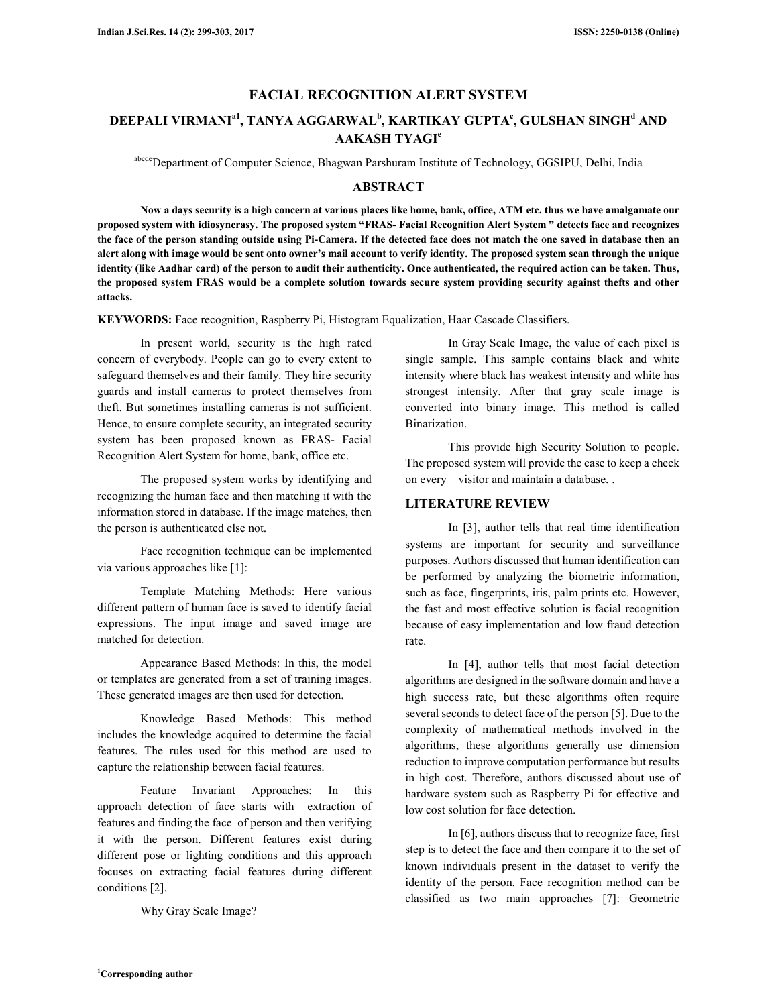# **FACIAL RECOGNITION ALERT SYSTEM**

# **DEEPALI VIRMANIa1, TANYA AGGARWAL<sup>b</sup> , KARTIKAY GUPTA<sup>c</sup> , GULSHAN SINGH<sup>d</sup> AND AAKASH TYAGI<sup>e</sup>**

abcdeDepartment of Computer Science, Bhagwan Parshuram Institute of Technology, GGSIPU, Delhi, India

# **ABSTRACT**

**Now a days security is a high concern at various places like home, bank, office, ATM etc. thus we have amalgamate our proposed system with idiosyncrasy. The proposed system "FRAS- Facial Recognition Alert System " detects face and recognizes the face of the person standing outside using Pi-Camera. If the detected face does not match the one saved in database then an alert along with image would be sent onto owner's mail account to verify identity. The proposed system scan through the unique identity (like Aadhar card) of the person to audit their authenticity. Once authenticated, the required action can be taken. Thus, the proposed system FRAS would be a complete solution towards secure system providing security against thefts and other attacks.** 

**KEYWORDS:** Face recognition, Raspberry Pi, Histogram Equalization, Haar Cascade Classifiers.

In present world, security is the high rated concern of everybody. People can go to every extent to safeguard themselves and their family. They hire security guards and install cameras to protect themselves from theft. But sometimes installing cameras is not sufficient. Hence, to ensure complete security, an integrated security system has been proposed known as FRAS- Facial Recognition Alert System for home, bank, office etc.

The proposed system works by identifying and recognizing the human face and then matching it with the information stored in database. If the image matches, then the person is authenticated else not.

Face recognition technique can be implemented via various approaches like [1]:

Template Matching Methods: Here various different pattern of human face is saved to identify facial expressions. The input image and saved image are matched for detection.

Appearance Based Methods: In this, the model or templates are generated from a set of training images. These generated images are then used for detection.

Knowledge Based Methods: This method includes the knowledge acquired to determine the facial features. The rules used for this method are used to capture the relationship between facial features.

Feature Invariant Approaches: In this approach detection of face starts with extraction of features and finding the face of person and then verifying it with the person. Different features exist during different pose or lighting conditions and this approach focuses on extracting facial features during different conditions [2].

Why Gray Scale Image?

In Gray Scale Image, the value of each pixel is single sample. This sample contains black and white intensity where black has weakest intensity and white has strongest intensity. After that gray scale image is converted into binary image. This method is called Binarization.

This provide high Security Solution to people. The proposed system will provide the ease to keep a check on every visitor and maintain a database. .

### **LITERATURE REVIEW**

In [3], author tells that real time identification systems are important for security and surveillance purposes. Authors discussed that human identification can be performed by analyzing the biometric information, such as face, fingerprints, iris, palm prints etc. However, the fast and most effective solution is facial recognition because of easy implementation and low fraud detection rate.

In [4], author tells that most facial detection algorithms are designed in the software domain and have a high success rate, but these algorithms often require several seconds to detect face of the person [5]. Due to the complexity of mathematical methods involved in the algorithms, these algorithms generally use dimension reduction to improve computation performance but results in high cost. Therefore, authors discussed about use of hardware system such as Raspberry Pi for effective and low cost solution for face detection.

In [6], authors discuss that to recognize face, first step is to detect the face and then compare it to the set of known individuals present in the dataset to verify the identity of the person. Face recognition method can be classified as two main approaches [7]: Geometric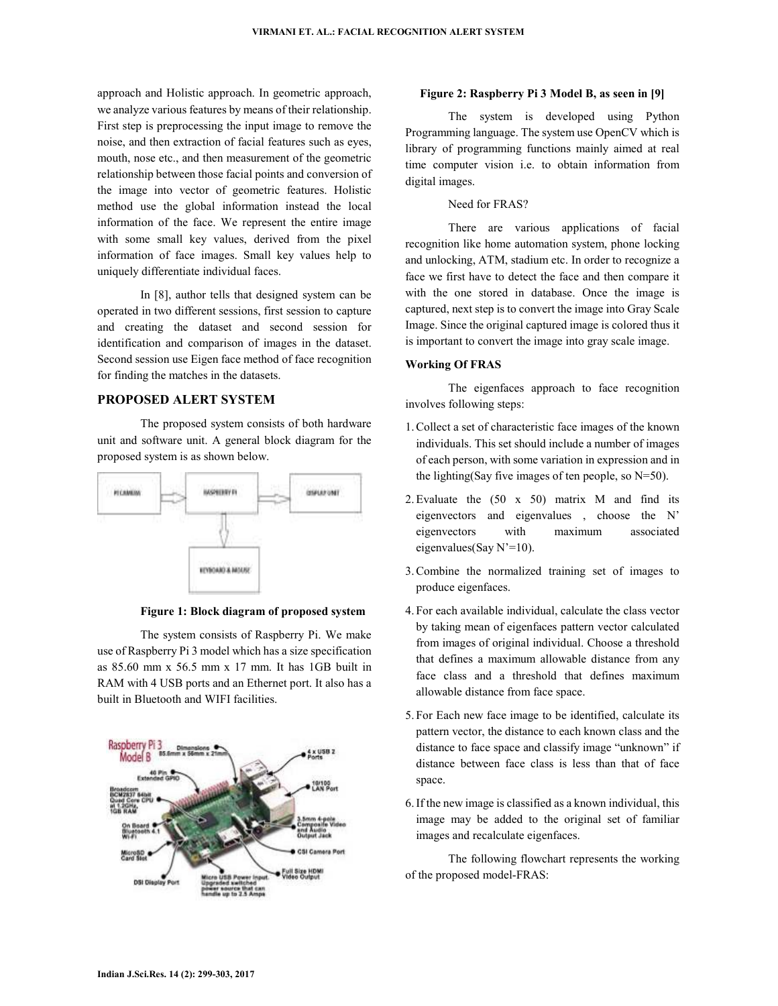approach and Holistic approach. In geometric approach, we analyze various features by means of their relationship. First step is preprocessing the input image to remove the noise, and then extraction of facial features such as eyes, mouth, nose etc., and then measurement of the geometric relationship between those facial points and conversion of the image into vector of geometric features. Holistic method use the global information instead the local information of the face. We represent the entire image with some small key values, derived from the pixel information of face images. Small key values help to uniquely differentiate individual faces.

In [8], author tells that designed system can be operated in two different sessions, first session to capture and creating the dataset and second session for identification and comparison of images in the dataset. Second session use Eigen face method of face recognition for finding the matches in the datasets.

## **PROPOSED ALERT SYSTEM**

The proposed system consists of both hardware unit and software unit. A general block diagram for the proposed system is as shown below.



**Figure 1: Block diagram of proposed system** 

The system consists of Raspberry Pi. We make use of Raspberry Pi 3 model which has a size specification as 85.60 mm x 56.5 mm x 17 mm. It has 1GB built in RAM with 4 USB ports and an Ethernet port. It also has a built in Bluetooth and WIFI facilities.



#### **Figure 2: Raspberry Pi 3 Model B, as seen in [9]**

The system is developed using Python Programming language. The system use OpenCV which is library of programming functions mainly aimed at real time computer vision i.e. to obtain information from digital images.

#### Need for FRAS?

There are various applications of facial recognition like home automation system, phone locking and unlocking, ATM, stadium etc. In order to recognize a face we first have to detect the face and then compare it with the one stored in database. Once the image is captured, next step is to convert the image into Gray Scale Image. Since the original captured image is colored thus it is important to convert the image into gray scale image.

#### **Working Of FRAS**

The eigenfaces approach to face recognition involves following steps:

- 1.Collect a set of characteristic face images of the known individuals. This set should include a number of images of each person, with some variation in expression and in the lighting(Say five images of ten people, so  $N=50$ ).
- 2.Evaluate the (50 x 50) matrix M and find its eigenvectors and eigenvalues , choose the N' eigenvectors with maximum associated eigenvalues(Say N'=10).
- 3.Combine the normalized training set of images to produce eigenfaces.
- 4. For each available individual, calculate the class vector by taking mean of eigenfaces pattern vector calculated from images of original individual. Choose a threshold that defines a maximum allowable distance from any face class and a threshold that defines maximum allowable distance from face space.
- 5. For Each new face image to be identified, calculate its pattern vector, the distance to each known class and the distance to face space and classify image "unknown" if distance between face class is less than that of face space.
- 6.If the new image is classified as a known individual, this image may be added to the original set of familiar images and recalculate eigenfaces.

The following flowchart represents the working of the proposed model-FRAS: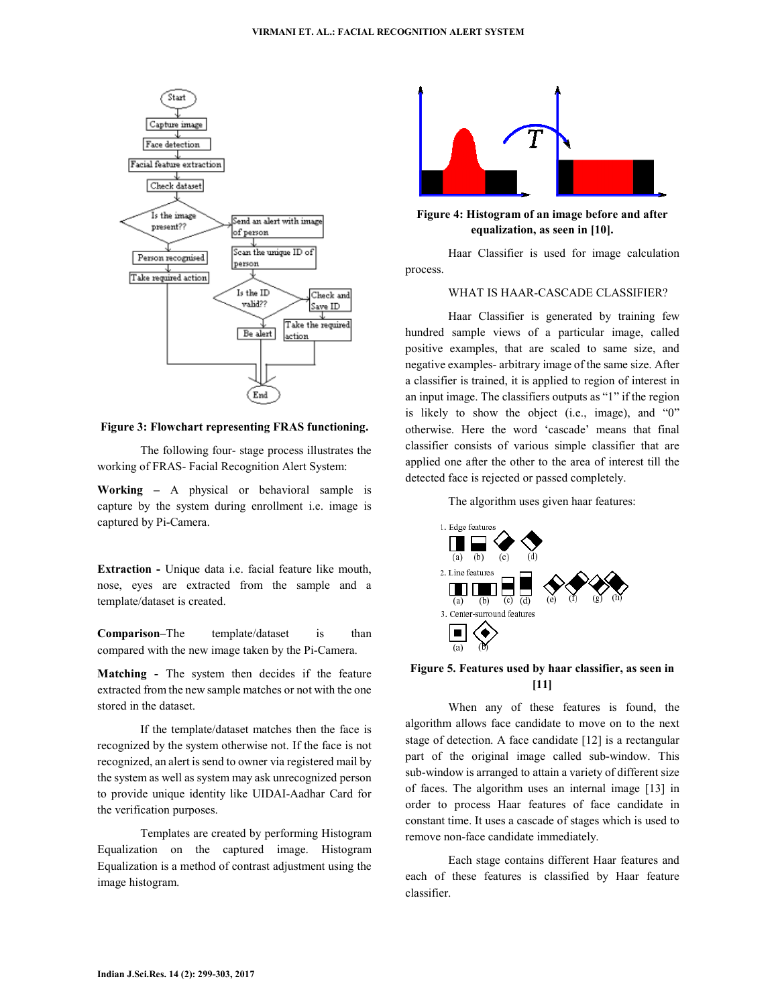

**Figure 3: Flowchart representing FRAS functioning.** 

The following four- stage process illustrates the working of FRAS- Facial Recognition Alert System:

**Working –** A physical or behavioral sample is capture by the system during enrollment i.e. image is captured by Pi-Camera.

**Extraction -** Unique data i.e. facial feature like mouth, nose, eyes are extracted from the sample and a template/dataset is created.

**Comparison–**The template/dataset is than compared with the new image taken by the Pi-Camera.

**Matching -** The system then decides if the feature extracted from the new sample matches or not with the one stored in the dataset.

If the template/dataset matches then the face is recognized by the system otherwise not. If the face is not recognized, an alert is send to owner via registered mail by the system as well as system may ask unrecognized person to provide unique identity like UIDAI-Aadhar Card for the verification purposes.

Templates are created by performing Histogram Equalization on the captured image. Histogram Equalization is a method of contrast adjustment using the image histogram.



## **Figure 4: Histogram of an image before and after equalization, as seen in [10].**

Haar Classifier is used for image calculation process.

## WHAT IS HAAR-CASCADE CLASSIFIER?

Haar Classifier is generated by training few hundred sample views of a particular image, called positive examples, that are scaled to same size, and negative examples- arbitrary image of the same size. After a classifier is trained, it is applied to region of interest in an input image. The classifiers outputs as "1" if the region is likely to show the object (i.e., image), and "0" otherwise. Here the word 'cascade' means that final classifier consists of various simple classifier that are applied one after the other to the area of interest till the detected face is rejected or passed completely.

The algorithm uses given haar features:



#### **Figure 5. Features used by haar classifier, as seen in [11]**

When any of these features is found, the algorithm allows face candidate to move on to the next stage of detection. A face candidate [12] is a rectangular part of the original image called sub-window. This sub-window is arranged to attain a variety of different size of faces. The algorithm uses an internal image [13] in order to process Haar features of face candidate in constant time. It uses a cascade of stages which is used to remove non-face candidate immediately.

Each stage contains different Haar features and each of these features is classified by Haar feature classifier.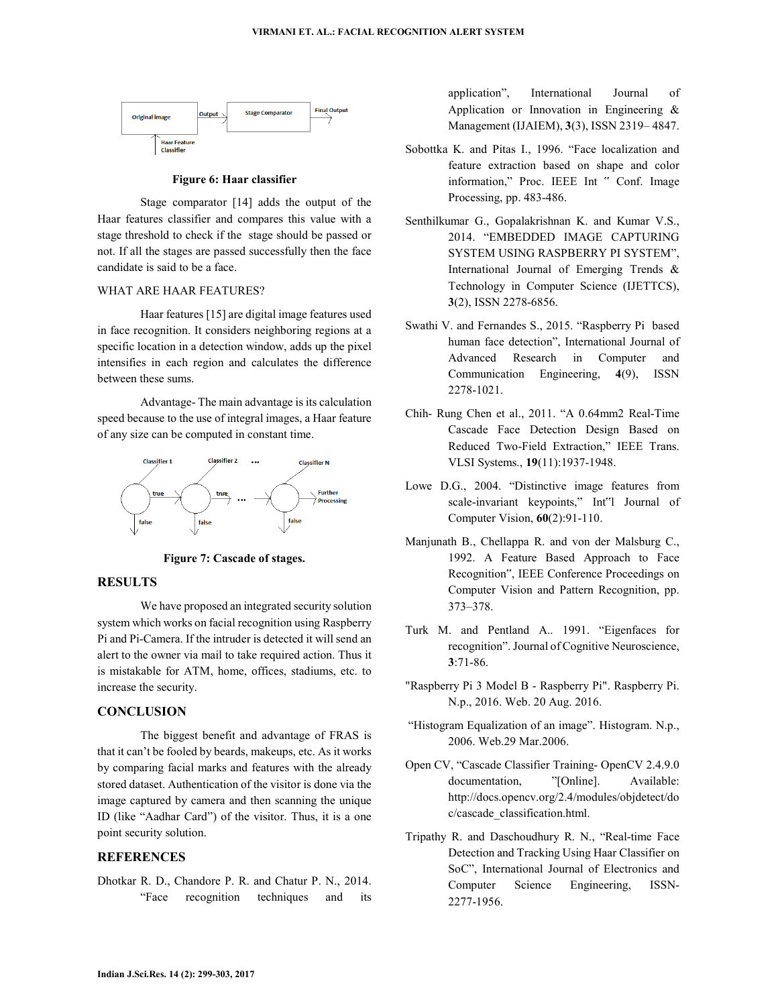

#### **Figure 6: Haar classifier**

Stage comparator [14] adds the output of the Haar features classifier and compares this value with a stage threshold to check if the stage should be passed or not. If all the stages are passed successfully then the face candidate is said to be a face.

#### WHAT ARE HAAR FEATURES?

Haar features [15] are digital image features used in face recognition. It considers neighboring regions at a specific location in a detection window, adds up the pixel intensifies in each region and calculates the difference between these sums.

Advantage- The main advantage is its calculation speed because to the use of integral images, a Haar feature of any size can be computed in constant time.



**Figure 7: Cascade of stages.** 

#### **RESULTS**

We have proposed an integrated security solution system which works on facial recognition using Raspberry Pi and Pi-Camera. If the intruder is detected it will send an alert to the owner via mail to take required action. Thus it is mistakable for ATM, home, offices, stadiums, etc. to increase the security.

## **CONCLUSION**

The biggest benefit and advantage of FRAS is that it can't be fooled by beards, makeups, etc. As it works by comparing facial marks and features with the already stored dataset. Authentication of the visitor is done via the image captured by camera and then scanning the unique ID (like "Aadhar Card") of the visitor. Thus, it is a one point security solution.

## **REFERENCES**

Dhotkar R. D., Chandore P. R. and Chatur P. N., 2014. "Face recognition techniques and its application", International Journal of Application or Innovation in Engineering & Management (IJAIEM), **3**(3), ISSN 2319– 4847.

- Sobottka K. and Pitas I., 1996. "Face localization and feature extraction based on shape and color information," Proc. IEEE Int " Conf. Image Processing, pp. 483-486.
- Senthilkumar G., Gopalakrishnan K. and Kumar V.S., 2014. "EMBEDDED IMAGE CAPTURING SYSTEM USING RASPBERRY PI SYSTEM", International Journal of Emerging Trends & Technology in Computer Science (IJETTCS), **3**(2), ISSN 2278-6856.
- Swathi V. and Fernandes S., 2015. "Raspberry Pi based human face detection", International Journal of Advanced Research in Computer and Communication Engineering, **4**(9), ISSN 2278-1021.
- Chih- Rung Chen et al., 2011. "A 0.64mm2 Real-Time Cascade Face Detection Design Based on Reduced Two-Field Extraction," IEEE Trans. VLSI Systems., **19**(11):1937-1948.
- Lowe D.G., 2004. "Distinctive image features from scale-invariant keypoints," Int"l Journal of Computer Vision, **60**(2):91-110.
- Manjunath B., Chellappa R. and von der Malsburg C., 1992. A Feature Based Approach to Face Recognition", IEEE Conference Proceedings on Computer Vision and Pattern Recognition, pp. 373–378.
- Turk M. and Pentland A.. 1991. "Eigenfaces for recognition". Journal of Cognitive Neuroscience, **3**:71-86.
- "Raspberry Pi 3 Model B Raspberry Pi". Raspberry Pi. N.p., 2016. Web. 20 Aug. 2016.
- "Histogram Equalization of an image". Histogram. N.p., 2006. Web.29 Mar.2006.
- Open CV, "Cascade Classifier Training- OpenCV 2.4.9.0 documentation, "[Online]. Available: http://docs.opencv.org/2.4/modules/objdetect/do c/cascade\_classification.html.
- Tripathy R. and Daschoudhury R. N., "Real-time Face Detection and Tracking Using Haar Classifier on SoC", International Journal of Electronics and Computer Science Engineering, ISSN-2277-1956.